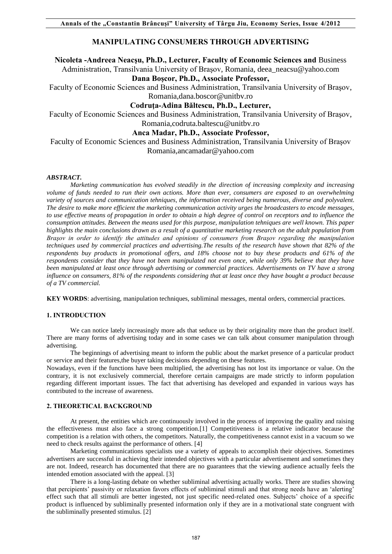# **MANIPULATING CONSUMERS THROUGH ADVERTISING**

## **Nicoleta -Andreea Neacşu, Ph.D., Lecturer, Faculty of Economic Sciences and** Business

Administration, Transilvania University of Braşov, Romania, deea\_neacsu@yahoo.com **Dana Boşcor, Ph.D., Associate Professor,** 

Faculty of Economic Sciences and Business Administration, Transilvania University of Braşov, Romania,dana.boscor@unitbv.ro

**Codruţa-Adina Băltescu, Ph.D., Lecturer,** 

Faculty of Economic Sciences and Business Administration, Transilvania University of Braşov, Romania,codruta.baltescu@unitbv.ro

## **Anca Madar, Ph.D., Associate Professor,**

Faculty of Economic Sciences and Business Administration, Transilvania University of Braşov Romania,ancamadar@yahoo.com

### *ABSTRACT.*

*Marketing communication has evolved steadily in the direction of increasing complexity and increasing volume of funds needed to run their own actions. More than ever, consumers are exposed to an overwhelming variety of sources and communication tehniques, the information received being numerous, diverse and polyvalent. The desire to make more efficient the marketing communication activity urges the broadcasters to encode messages, to use effective means of propagation in order to obtain a high degree of control on receptors and to influence the consumption attitudes. Between the means used for this purpose, manipulation tehniques are well known. This paper highlights the main conclusions drawn as a result of a quantitative marketing research on the adult population from Braşov in order to identify the attitudes and opinions of consumers from Braşov regarding the manipulation techniques used by commercial practices and advertising.The results of the research have shown that 82% of the respondents buy products in promotional offers, and 18% choose not to buy these products and 61% of the respondents consider that they have not been manipulated not even once, while only 39% believe that they have been manipulated at least once through advertising or commercial practices. Advertisements on TV have a strong influence on consumers, 81% of the respondents considering that at least once they have bought a product because of a TV commercial.* 

**KEY WORDS**: advertising, manipulation techniques, subliminal messages, mental orders, commercial practices.

### **1. INTRODUCTION**

We can notice lately increasingly more ads that seduce us by their originality more than the product itself. There are many forms of advertising today and in some cases we can talk about consumer manipulation through advertising.

The beginnings of advertising meant to inform the public about the market presence of a particular product or service and their features,the buyer taking decisions depending on these features.

Nowadays, even if the functions have been multiplied, the advertising has not lost its importance or value. On the contrary, it is not exclusively commercial, therefore certain campaigns are made strictly to inform population regarding different important issues. The fact that advertising has developed and expanded in various ways has contributed to the increase of awareness.

#### **2. THEORETICAL BACKGROUND**

At present, the entities which are continuously involved in the process of improving the quality and raising the effectiveness must also face a strong competition.[1] Competitiveness is a relative indicator because the competition is a relation with others, the competitors. Naturally, the competitiveness cannot exist in a vacuum so we need to check results against the performance of others. [4]

Marketing communications specialists use a variety of appeals to accomplish their objectives. Sometimes advertisers are successful in achieving their intended objectives with a particular advertisement and sometimes they are not. Indeed, research has documented that there are no guarantees that the viewing audience actually feels the intended emotion associated with the appeal. [3]

There is a long-lasting debate on whether subliminal advertising actually works. There are studies showing that percipients' passivity or relaxation favors effects of subliminal stimuli and that strong needs have an 'alerting' effect such that all stimuli are better ingested, not just specific need-related ones. Subjects' choice of a specific product is influenced by subliminally presented information only if they are in a motivational state congruent with the subliminally presented stimulus. [2]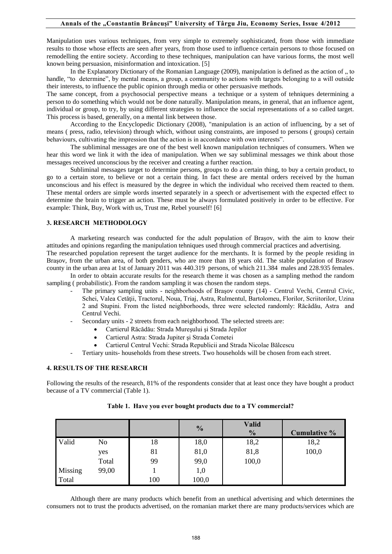Manipulation uses various techniques, from very simple to extremely sophisticated, from those with immediate results to those whose effects are seen after years, from those used to influence certain persons to those focused on remodelling the entire society. According to these techniques, manipulation can have various forms, the most well known being persuasion, misinformation and intoxication. [5]

In the Explanatory Dictionary of the Romanian Language (2009), manipulation is defined as the action of  $\alpha$ , to handle, "to determine", by mental means, a group, a community to actions with targets belonging to a will outside their interests, to influence the public opinion through media or other persuasive methods.

The same concept, from a psychosocial perspective means a technique or a system of tehniques determining a person to do something which would not be done naturally. Manipulation means, in general, that an influence agent, individual or group, to try, by using different strategies to influence the social representations of a so called target. This process is based, generally, on a mental link between those.

According to the Encyclopedic Dictionary (2008), "manipulation is an action of influencing, by a set of means ( press, radio, television) through which, without using constraints, are imposed to persons ( groups) certain behaviours, cultivating the impression that the action is in accordance with own interests".

The subliminal messages are one of the best well known manipulation techniques of consumers. When we hear this word we link it with the idea of manipulation. When we say subliminal messages we think about those messages received unconscious by the receiver and creating a further reaction.

Subliminal messages target to determine persons, groups to do a certain thing, to buy a certain product, to go to a certain store, to believe or not a certain thing. In fact these are mental orders received by the human unconscious and his effect is measured by the degree in which the individual who received them reacted to them. These mental orders are simple words inserted separately in a speech or advertisement with the expected effect to determine the brain to trigger an action. These must be always formulated positively in order to be effective. For example: Think, Buy, Work with us, Trust me, Rebel yourself! [6]

### **3. RESEARCH METHODOLOGY**

A marketing research was conducted for the adult population of Braşov, with the aim to know their attitudes and opinions regarding the manipulation tehniques used through commercial practices and advertising. The researched population represent the target audience for the merchants. It is formed by the people residing in Braşov, from the urban area, of both genders, who are more than 18 years old. The stable population of Brasov county in the urban area at 1st of January 2011 was 440.319 persons, of which 211.384 males and 228.935 females.

In order to obtain accurate results for the research theme it was chosen as a sampling method the random sampling ( probabilistic). From the random sampling it was chosen the random steps.

- The primary sampling units neighborhoods of Braşov county (14) Centrul Vechi, Centrul Civic, Schei, Valea Cetății, Tractorul, Noua, Triaj, Astra, Rulmentul, Bartolomeu, Florilor, Scriitorilor, Uzina 2 and Stupini. From the listed neighborhoods, three were selected randomly: Răcădău, Astra and Centrul Vechi.
	- Secondary units 2 streets from each neighborhood. The selected streets are:
		- Cartierul Răcădău: Strada Mureşului şi Strada Jepilor
		- Cartierul Astra: Strada Jupiter şi Strada Cometei
		- Cartierul Centrul Vechi: Strada Republicii and Strada Nicolae Bălcescu
- Tertiary units- households from these streets. Two households will be chosen from each street.

### **4. RESULTS OF THE RESEARCH**

Following the results of the research, 81% of the respondents consider that at least once they have bought a product because of a TV commercial (Table 1).

|         |       |     | $\frac{0}{0}$ | <b>Valid</b><br>$\frac{0}{0}$ | Cumulative % |
|---------|-------|-----|---------------|-------------------------------|--------------|
| Valid   | No    | 18  | 18,0          | 18,2                          | 18,2         |
|         | yes   | 81  | 81,0          | 81,8                          | 100,0        |
|         | Total | 99  | 99,0          | 100,0                         |              |
| Missing | 99,00 |     | $1,\!0$       |                               |              |
| Total   |       | 100 | 100,0         |                               |              |

## **Table 1. Have you ever bought products due to a TV commercial?**

Although there are many products which benefit from an unethical advertising and which determines the consumers not to trust the products advertised, on the romanian market there are many products/services which are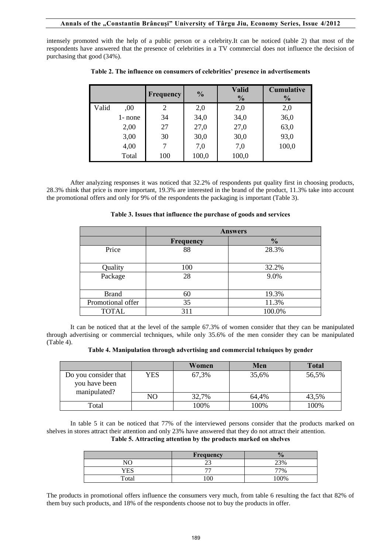intensely promoted with the help of a public person or a celebrity.It can be noticed (table 2) that most of the respondents have answered that the presence of celebrities in a TV commercial does not influence the decision of purchasing that good (34%).

|       |         | Frequency | $\frac{0}{0}$ | <b>Valid</b><br>$\frac{0}{0}$ | <b>Cumulative</b><br>$\frac{0}{0}$ |
|-------|---------|-----------|---------------|-------------------------------|------------------------------------|
| Valid | ,00     | 2         | 2,0           | 2,0                           | 2,0                                |
|       | 1- none | 34        | 34,0          | 34,0                          | 36,0                               |
|       | 2,00    | 27        | 27,0          | 27,0                          | 63,0                               |
|       | 3,00    | 30        | 30,0          | 30,0                          | 93,0                               |
|       | 4,00    |           | 7,0           | 7,0                           | 100,0                              |
|       | Total   | 100       | 100,0         | 100,0                         |                                    |

**Table 2. The influence on consumers of celebrities' presence in advertisements**

After analyzing responses it was noticed that 32.2% of respondents put quality first in choosing products, 28.3% think that price is more important, 19.3% are interested in the brand of the product, 11.3% take into account the promotional offers and only for 9% of the respondents the packaging is important (Table 3).

| Table 3. Issues that influence the purchase of goods and services |  |  |
|-------------------------------------------------------------------|--|--|
|-------------------------------------------------------------------|--|--|

|                   | <b>Answers</b> |               |  |  |  |
|-------------------|----------------|---------------|--|--|--|
|                   | Frequency      | $\frac{0}{0}$ |  |  |  |
| Price             | 88             | 28.3%         |  |  |  |
| Quality           | 100            | 32.2%         |  |  |  |
| Package           | 28             | 9.0%          |  |  |  |
| <b>Brand</b>      | 60             | 19.3%         |  |  |  |
| Promotional offer | 35             | 11.3%         |  |  |  |
| <b>TOTAL</b>      | 311            | 100.0%        |  |  |  |

It can be noticed that at the level of the sample 67.3% of women consider that they can be manipulated through advertising or commercial techniques, while only 35.6% of the men consider they can be manipulated (Table 4).

**Table 4. Manipulation through advertising and commercial tehniques by gender**

|                                                       |     | Women | Men   | <b>Total</b> |
|-------------------------------------------------------|-----|-------|-------|--------------|
| Do you consider that<br>you have been<br>manipulated? | YES | 67,3% | 35,6% | 56,5%        |
|                                                       | NO  | 32,7% | 64,4% | 43,5%        |
| Total                                                 |     | 100%  | 100%  | 100%         |

In table 5 it can be noticed that 77% of the interviewed persons consider that the products marked on shelves in stores attract their attention and only 23% have answered that they do not attract their attention. **Table 5. Attracting attention by the products marked on shelves**

|       | Frequency                |      |
|-------|--------------------------|------|
| NO    |                          | 23%  |
| YES   | $\overline{\phantom{a}}$ | 77%  |
| Total | 00                       | 100% |

The products in promotional offers influence the consumers very much, from table 6 resulting the fact that 82% of them buy such products, and 18% of the respondents choose not to buy the products in offer.